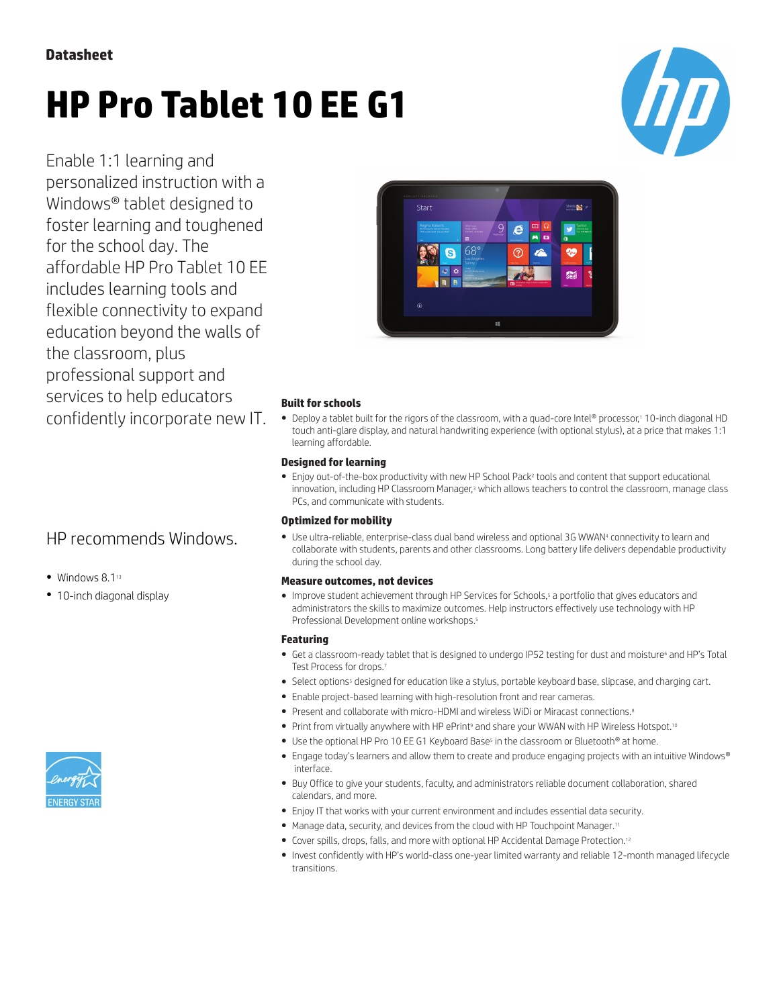# **HP Pro Tablet 10 EE G1**



Enable 1:1 learning and personalized instruction with a Windows® tablet designed to foster learning and toughened for the school day. The affordable HP Pro Tablet 10 EE includes learning tools and flexible connectivity to expand education beyond the walls of the classroom, plus professional support and services to help educators confidently incorporate new IT.

## HP recommends Windows.

- Windows 8.1<sup>13</sup>
- 10-inch diagonal display



### **Built for schools**

• Deploy a tablet built for the rigors of the classroom, with a quad-core Intel® processor,1 10-inch diagonal HD touch anti-glare display, and natural handwriting experience (with optional stylus), at a price that makes 1:1 learning affordable.

### **Designed for learning**

● Enjoy out-of-the-box productivity with new HP School Pack<sup>2</sup> tools and content that support educational innovation, including HP Classroom Manager,<sup>3</sup> which allows teachers to control the classroom, manage class PCs, and communicate with students.

### **Optimized for mobility**

● Use ultra-reliable, enterprise-class dual band wireless and optional 3G WWAN<sup>4</sup> connectivity to learn and collaborate with students, parents and other classrooms. Long battery life delivers dependable productivity during the school day.

### **Measure outcomes, not devices**

● Improve student achievement through HP Services for Schools,<sup>5</sup> a portfolio that gives educators and administrators the skills to maximize outcomes. Help instructors effectively use technology with HP Professional Development online workshops.<sup>5</sup>

### **Featuring**

- Get a classroom-ready tablet that is designed to undergo IP52 testing for dust and moisture<sup>6</sup> and HP's Total Test Process for drops.<sup>7</sup>
- Select options<sup>5</sup> designed for education like a stylus, portable keyboard base, slipcase, and charging cart.
- Enable project-based learning with high-resolution front and rear cameras.
- Present and collaborate with micro-HDMI and wireless WiDi or Miracast connections.<sup>8</sup>
- Print from virtually anywhere with HP ePrint<sup>9</sup> and share your WWAN with HP Wireless Hotspot.<sup>10</sup>
- . Use the optional HP Pro 10 EE G1 Keyboard Base<sup>s</sup> in the classroom or Bluetooth® at home.
- Engage today's learners and allow them to create and produce engaging projects with an intuitive Windows® interface.
- Buy Office to give your students, faculty, and administrators reliable document collaboration, shared calendars, and more.
- Enjoy IT that works with your current environment and includes essential data security.
- Manage data, security, and devices from the cloud with HP Touchpoint Manager.<sup>11</sup>
- Cover spills, drops, falls, and more with optional HP Accidental Damage Protection.<sup>12</sup>
- Invest confidently with HP's world-class one-year limited warranty and reliable 12-month managed lifecycle transitions.

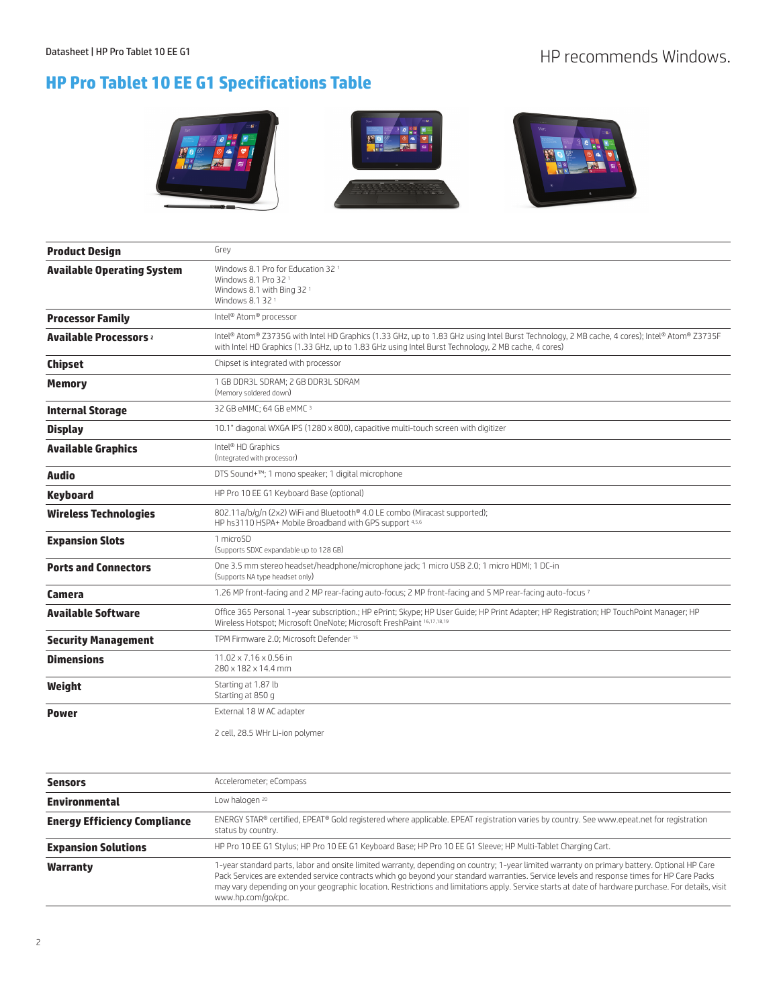# Datasheet | HP Pro Tablet 10 EE G1 HP recommends Windows.

# **HP Pro Tablet 10 EE G1 Specifications Table**



| <b>Product Design</b>                    | Grey                                                                                                                                                                                                                                                |
|------------------------------------------|-----------------------------------------------------------------------------------------------------------------------------------------------------------------------------------------------------------------------------------------------------|
| <b>Available Operating System</b>        | Windows 8.1 Pro for Education 32 <sup>1</sup><br>Windows 8.1 Pro 32 <sup>1</sup><br>Windows 8.1 with Bing 32 1<br>Windows 8.1 32 <sup>1</sup>                                                                                                       |
| <b>Processor Family</b>                  | Intel® Atom® processor                                                                                                                                                                                                                              |
| <b>Available Processors</b> <sup>2</sup> | Intel® Atom® Z3735G with Intel HD Graphics (1.33 GHz, up to 1.83 GHz using Intel Burst Technology, 2 MB cache, 4 cores); Intel® Atom® Z3735F<br>with Intel HD Graphics (1.33 GHz, up to 1.83 GHz using Intel Burst Technology, 2 MB cache, 4 cores) |
| <b>Chipset</b>                           | Chipset is integrated with processor                                                                                                                                                                                                                |
| <b>Memory</b>                            | 1 GB DDR3L SDRAM; 2 GB DDR3L SDRAM<br>(Memory soldered down)                                                                                                                                                                                        |
| <b>Internal Storage</b>                  | 32 GB eMMC; 64 GB eMMC 3                                                                                                                                                                                                                            |
| <b>Display</b>                           | 10.1" diagonal WXGA IPS (1280 x 800), capacitive multi-touch screen with digitizer                                                                                                                                                                  |
| <b>Available Graphics</b>                | Intel <sup>®</sup> HD Graphics<br>(Integrated with processor)                                                                                                                                                                                       |
| <b>Audio</b>                             | DTS Sound+™; 1 mono speaker; 1 digital microphone                                                                                                                                                                                                   |
| <b>Keyboard</b>                          | HP Pro 10 EE G1 Keyboard Base (optional)                                                                                                                                                                                                            |
| <b>Wireless Technologies</b>             | 802.11a/b/q/n (2x2) WiFi and Bluetooth® 4.0 LE combo (Miracast supported);<br>HP hs3110 HSPA+ Mobile Broadband with GPS support 4,5,6                                                                                                               |
| <b>Expansion Slots</b>                   | 1 microSD<br>(Supports SDXC expandable up to 128 GB)                                                                                                                                                                                                |
| <b>Ports and Connectors</b>              | One 3.5 mm stereo headset/headphone/microphone jack; 1 micro USB 2.0; 1 micro HDMI; 1 DC-in<br>(Supports NA type headset only)                                                                                                                      |
| Camera                                   | 1.26 MP front-facing and 2 MP rear-facing auto-focus; 2 MP front-facing and 5 MP rear-facing auto-focus 7                                                                                                                                           |
| <b>Available Software</b>                | Office 365 Personal 1-year subscription.; HP ePrint; Skype; HP User Guide; HP Print Adapter; HP Registration; HP TouchPoint Manager; HP<br>Wireless Hotspot; Microsoft OneNote; Microsoft FreshPaint 16,17,18,19                                    |
| <b>Security Management</b>               | TPM Firmware 2.0; Microsoft Defender <sup>15</sup>                                                                                                                                                                                                  |
| <b>Dimensions</b>                        | $11.02 \times 7.16 \times 0.56$ in<br>280 x 182 x 14.4 mm                                                                                                                                                                                           |
| Weight                                   | Starting at 1.87 lb<br>Starting at 850 g                                                                                                                                                                                                            |
| <b>Power</b>                             | External 18 W AC adapter                                                                                                                                                                                                                            |
|                                          | 2 cell, 28.5 WHr Li-ion polymer                                                                                                                                                                                                                     |

| <b>Sensors</b>                      | Accelerometer; eCompass                                                                                                                                                                                                                                                                                                                                                                                                                                                 |
|-------------------------------------|-------------------------------------------------------------------------------------------------------------------------------------------------------------------------------------------------------------------------------------------------------------------------------------------------------------------------------------------------------------------------------------------------------------------------------------------------------------------------|
| <b>Environmental</b>                | Low halogen <sup>20</sup>                                                                                                                                                                                                                                                                                                                                                                                                                                               |
| <b>Energy Efficiency Compliance</b> | ENERGY STAR® certified, EPEAT® Gold registered where applicable. EPEAT registration varies by country. See www.epeat.net for registration<br>status by country.                                                                                                                                                                                                                                                                                                         |
| <b>Expansion Solutions</b>          | HP Pro 10 EE G1 Stylus; HP Pro 10 EE G1 Keyboard Base; HP Pro 10 EE G1 Sleeve; HP Multi-Tablet Charging Cart.                                                                                                                                                                                                                                                                                                                                                           |
| Warranty                            | 1-year standard parts, labor and onsite limited warranty, depending on country; 1-year limited warranty on primary battery. Optional HP Care<br>Pack Services are extended service contracts which go beyond your standard warranties. Service levels and response times for HP Care Packs<br>may vary depending on your geographic location. Restrictions and limitations apply. Service starts at date of hardware purchase. For details, visit<br>www.hp.com/go/cpc. |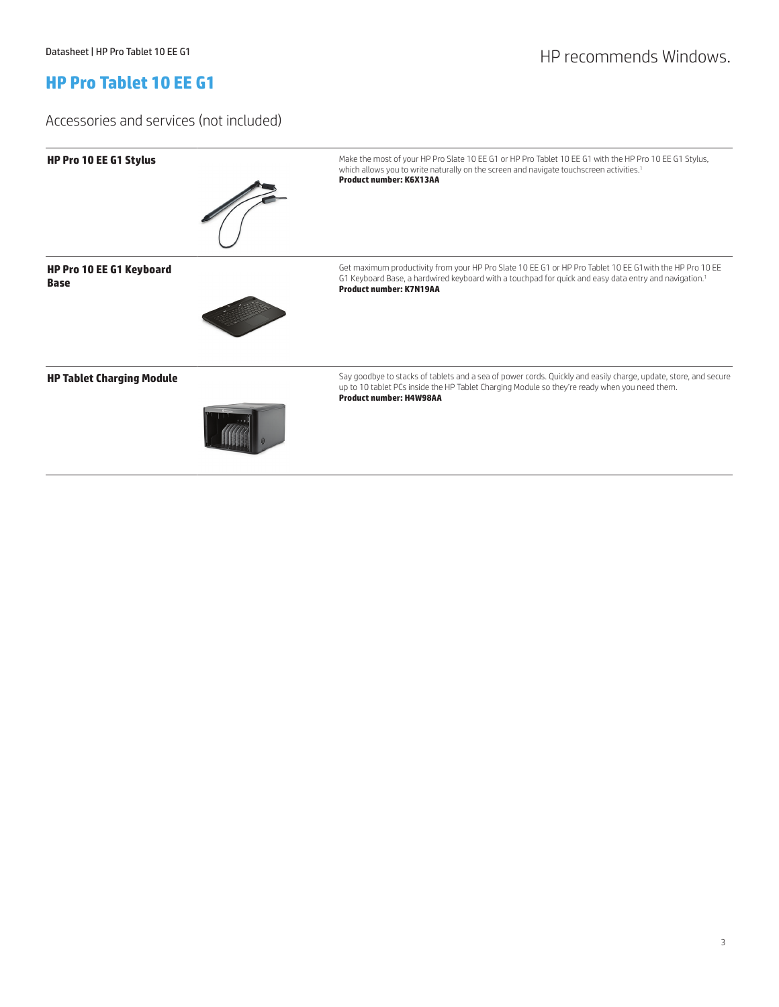# Datasheet | HP Pro Tablet 10 EE G1 HP Pro Tablet 10 EE G1

### **HP Pro Tablet 10 EE G1**

Accessories and services (not included)